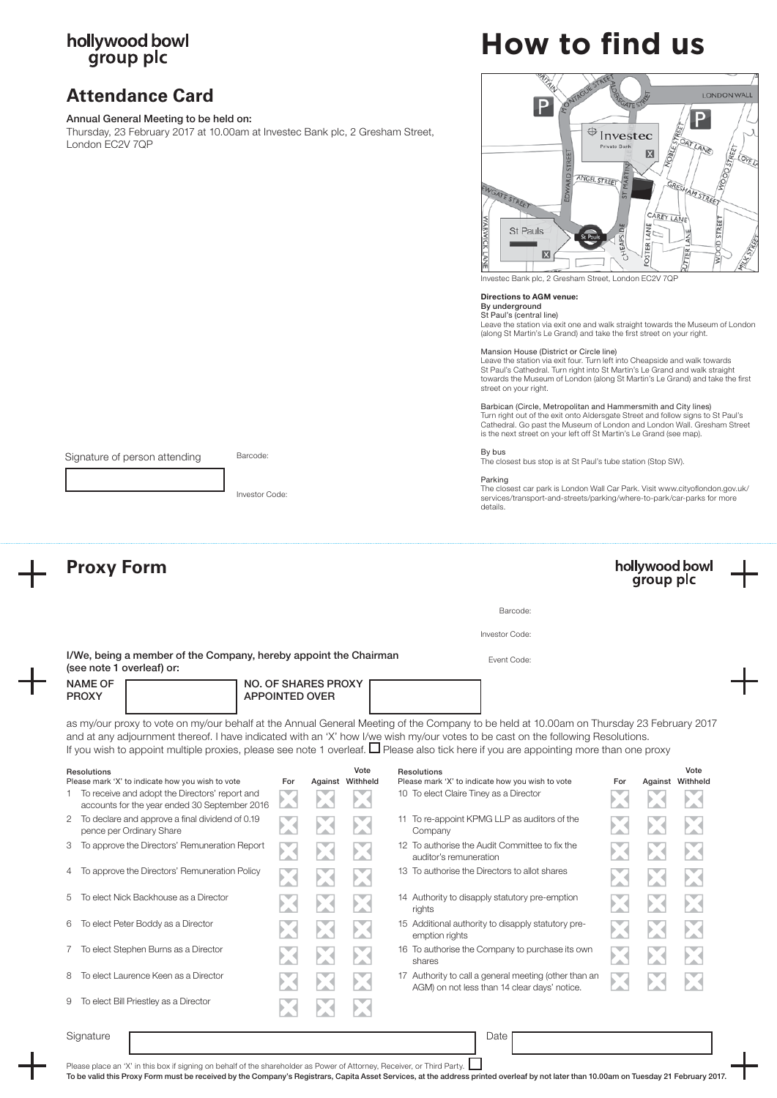# hollywood bowl<br>group plc

## **Attendance Card**

Signature of person attending

## Annual General Meeting to be held on:

Thursday, 23 February 2017 at 10.00am at Investec Bank plc, 2 Gresham Street, London EC2V 7QP

Barcode:

Investor Code:

# **How to find us**



Investec Bank plc, 2 Gresham Street, London EC2V 7QF

### Directions to AGM venue:

## By underground St Paul's (central line)

Leave the station via exit one and walk straight towards the Museum of London (along St Martin's Le Grand) and take the first street on your right.

#### Mansion House (District or Circle line)

Leave the station via exit four. Turn left into Cheapside and walk towards St Paul's Cathedral. Turn right into St Martin's Le Grand and walk straight towards the Museum of London (along St Martin's Le Grand) and take the first street on your right.

Barbican (Circle, Metropolitan and Hammersmith and City lines) Turn right out of the exit onto Aldersgate Street and follow signs to St Paul's Cathedral. Go past the Museum of London and London Wall. Gresham Street is the next street on your left off St Martin's Le Grand (see map).

By bus

The closest bus stop is at St Paul's tube station (Stop SW).

## Parking

The closest car park is London Wall Car Park. Visit www.cityoflondon.gov.uk/ services/transport-and-streets/parking/where-to-park/car-parks for more details.

| <b>Proxy Form</b>                                                                                 |  |     | hollywood bowl<br>group plc |                          |                                                                                                                                                                                                                                                                                                                                                                                                                                |     |  |                  |  |
|---------------------------------------------------------------------------------------------------|--|-----|-----------------------------|--------------------------|--------------------------------------------------------------------------------------------------------------------------------------------------------------------------------------------------------------------------------------------------------------------------------------------------------------------------------------------------------------------------------------------------------------------------------|-----|--|------------------|--|
|                                                                                                   |  |     |                             |                          | Barcode:                                                                                                                                                                                                                                                                                                                                                                                                                       |     |  |                  |  |
|                                                                                                   |  |     |                             |                          | Investor Code:                                                                                                                                                                                                                                                                                                                                                                                                                 |     |  |                  |  |
| I/We, being a member of the Company, hereby appoint the Chairman<br>(see note 1 overleaf) or:     |  |     |                             |                          | Event Code:                                                                                                                                                                                                                                                                                                                                                                                                                    |     |  |                  |  |
| <b>NAME OF</b><br><b>NO. OF SHARES PROXY</b><br><b>APPOINTED OVER</b><br><b>PROXY</b>             |  |     |                             |                          |                                                                                                                                                                                                                                                                                                                                                                                                                                |     |  |                  |  |
|                                                                                                   |  |     |                             |                          | as my/our proxy to vote on my/our behalf at the Annual General Meeting of the Company to be held at 10.00am on Thursday 23 February 2017<br>and at any adjournment thereof. I have indicated with an 'X' how I/we wish my/our votes to be cast on the following Resolutions.<br>If you wish to appoint multiple proxies, please see note 1 overleaf. $\square$ Please also tick here if you are appointing more than one proxy |     |  |                  |  |
| <b>Resolutions</b><br>Please mark 'X' to indicate how you wish to vote                            |  | For |                             | Vote<br>Against Withheld | <b>Resolutions</b><br>Please mark 'X' to indicate how you wish to vote                                                                                                                                                                                                                                                                                                                                                         | For |  | Vote             |  |
| 1 To receive and adopt the Directors' report and<br>accounts for the year ended 30 September 2016 |  |     |                             |                          | 10 To elect Claire Tiney as a Director                                                                                                                                                                                                                                                                                                                                                                                         |     |  | Against Withheld |  |
| To declare and approve a final dividend of 0.19<br>$\overline{2}$<br>pence per Ordinary Share     |  |     |                             |                          | 11 To re-appoint KPMG LLP as auditors of the<br>Company                                                                                                                                                                                                                                                                                                                                                                        |     |  |                  |  |
| To approve the Directors' Remuneration Report                                                     |  |     |                             |                          | 12 To authorise the Audit Committee to fix the<br>auditor's remuneration                                                                                                                                                                                                                                                                                                                                                       |     |  |                  |  |
| To approve the Directors' Remuneration Policy<br>4                                                |  |     |                             |                          | 13 To authorise the Directors to allot shares                                                                                                                                                                                                                                                                                                                                                                                  |     |  |                  |  |
| To elect Nick Backhouse as a Director<br>5                                                        |  |     |                             |                          | 14 Authority to disapply statutory pre-emption<br>rights                                                                                                                                                                                                                                                                                                                                                                       |     |  |                  |  |
| To elect Peter Boddy as a Director<br>6                                                           |  |     |                             |                          | 15 Additional authority to disapply statutory pre-<br>emption rights                                                                                                                                                                                                                                                                                                                                                           |     |  |                  |  |
| To elect Stephen Burns as a Director<br>7                                                         |  |     |                             |                          | 16 To authorise the Company to purchase its own<br>shares                                                                                                                                                                                                                                                                                                                                                                      |     |  |                  |  |
| To elect Laurence Keen as a Director<br>8                                                         |  |     |                             |                          | 17 Authority to call a general meeting (other than an<br>AGM) on not less than 14 clear days' notice.                                                                                                                                                                                                                                                                                                                          |     |  |                  |  |
| To elect Bill Priestley as a Director<br>9                                                        |  |     |                             |                          |                                                                                                                                                                                                                                                                                                                                                                                                                                |     |  |                  |  |
|                                                                                                   |  |     |                             |                          |                                                                                                                                                                                                                                                                                                                                                                                                                                |     |  |                  |  |

Please place an 'X' in this box if signing on behalf of the shareholder as Power of Attorney, Receiver, or Third Party.

To be valid this Proxy Form must be received by the Company's Registrars, Capita Asset Services, at the address printed overleaf by not later than 10.00am on Tuesday 21 February 2017.